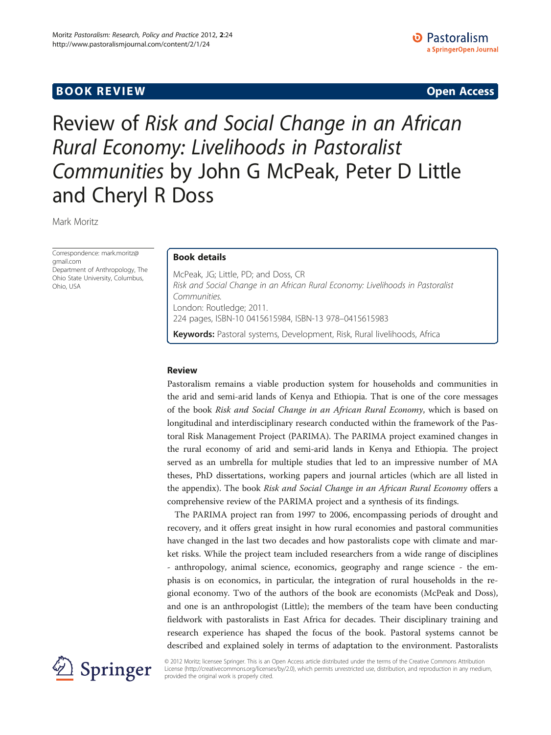## **BOOK REVIEW CONTROL** BOOK REVIEW

# Review of Risk and Social Change in an African Rural Economy: Livelihoods in Pastoralist Communities by John G McPeak, Peter D Little and Cheryl R Doss

Mark Moritz

Correspondence: mark.moritz@ gmail.com Department of Anthropology, The Ohio State University, Columbus, Ohio, USA

#### Book details

McPeak, JG; Little, PD; and Doss, CR Risk and Social Change in an African Rural Economy: Livelihoods in Pastoralist Communities. London: Routledge; 2011. 224 pages, ISBN-10 0415615984, ISBN-13 978–0415615983 Keywords: Pastoral systems, Development, Risk, Rural livelihoods, Africa

#### Review

Pastoralism remains a viable production system for households and communities in the arid and semi-arid lands of Kenya and Ethiopia. That is one of the core messages of the book Risk and Social Change in an African Rural Economy, which is based on longitudinal and interdisciplinary research conducted within the framework of the Pastoral Risk Management Project (PARIMA). The PARIMA project examined changes in the rural economy of arid and semi-arid lands in Kenya and Ethiopia. The project served as an umbrella for multiple studies that led to an impressive number of MA theses, PhD dissertations, working papers and journal articles (which are all listed in the appendix). The book Risk and Social Change in an African Rural Economy offers a comprehensive review of the PARIMA project and a synthesis of its findings.

The PARIMA project ran from 1997 to 2006, encompassing periods of drought and recovery, and it offers great insight in how rural economies and pastoral communities have changed in the last two decades and how pastoralists cope with climate and market risks. While the project team included researchers from a wide range of disciplines - anthropology, animal science, economics, geography and range science - the emphasis is on economics, in particular, the integration of rural households in the regional economy. Two of the authors of the book are economists (McPeak and Doss), and one is an anthropologist (Little); the members of the team have been conducting fieldwork with pastoralists in East Africa for decades. Their disciplinary training and research experience has shaped the focus of the book. Pastoral systems cannot be described and explained solely in terms of adaptation to the environment. Pastoralists



© 2012 Moritz; licensee Springer. This is an Open Access article distributed under the terms of the Creative Commons Attribution License [\(http://creativecommons.org/licenses/by/2.0\)](http://creativecommons.org/licenses/by/2.0), which permits unrestricted use, distribution, and reproduction in any medium, provided the original work is properly cited.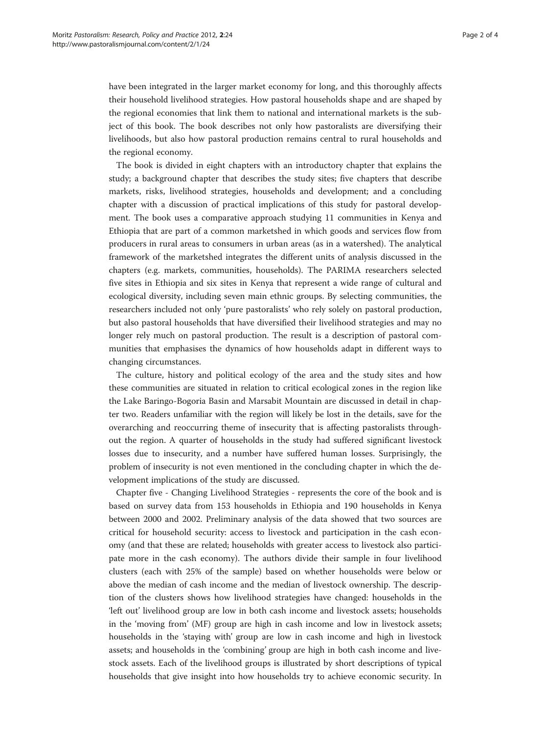have been integrated in the larger market economy for long, and this thoroughly affects their household livelihood strategies. How pastoral households shape and are shaped by the regional economies that link them to national and international markets is the subject of this book. The book describes not only how pastoralists are diversifying their livelihoods, but also how pastoral production remains central to rural households and the regional economy.

The book is divided in eight chapters with an introductory chapter that explains the study; a background chapter that describes the study sites; five chapters that describe markets, risks, livelihood strategies, households and development; and a concluding chapter with a discussion of practical implications of this study for pastoral development. The book uses a comparative approach studying 11 communities in Kenya and Ethiopia that are part of a common marketshed in which goods and services flow from producers in rural areas to consumers in urban areas (as in a watershed). The analytical framework of the marketshed integrates the different units of analysis discussed in the chapters (e.g. markets, communities, households). The PARIMA researchers selected five sites in Ethiopia and six sites in Kenya that represent a wide range of cultural and ecological diversity, including seven main ethnic groups. By selecting communities, the researchers included not only 'pure pastoralists' who rely solely on pastoral production, but also pastoral households that have diversified their livelihood strategies and may no longer rely much on pastoral production. The result is a description of pastoral communities that emphasises the dynamics of how households adapt in different ways to changing circumstances.

The culture, history and political ecology of the area and the study sites and how these communities are situated in relation to critical ecological zones in the region like the Lake Baringo-Bogoria Basin and Marsabit Mountain are discussed in detail in chapter two. Readers unfamiliar with the region will likely be lost in the details, save for the overarching and reoccurring theme of insecurity that is affecting pastoralists throughout the region. A quarter of households in the study had suffered significant livestock losses due to insecurity, and a number have suffered human losses. Surprisingly, the problem of insecurity is not even mentioned in the concluding chapter in which the development implications of the study are discussed.

Chapter five - Changing Livelihood Strategies - represents the core of the book and is based on survey data from 153 households in Ethiopia and 190 households in Kenya between 2000 and 2002. Preliminary analysis of the data showed that two sources are critical for household security: access to livestock and participation in the cash economy (and that these are related; households with greater access to livestock also participate more in the cash economy). The authors divide their sample in four livelihood clusters (each with 25% of the sample) based on whether households were below or above the median of cash income and the median of livestock ownership. The description of the clusters shows how livelihood strategies have changed: households in the 'left out' livelihood group are low in both cash income and livestock assets; households in the 'moving from' (MF) group are high in cash income and low in livestock assets; households in the 'staying with' group are low in cash income and high in livestock assets; and households in the 'combining' group are high in both cash income and livestock assets. Each of the livelihood groups is illustrated by short descriptions of typical households that give insight into how households try to achieve economic security. In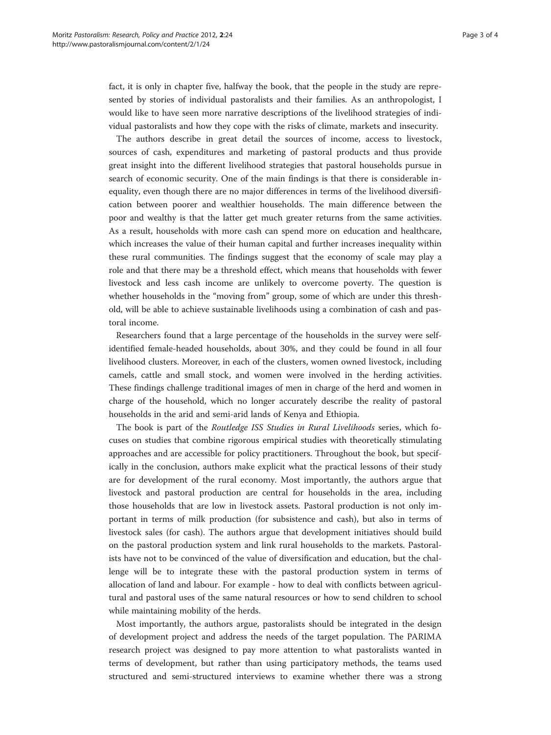fact, it is only in chapter five, halfway the book, that the people in the study are represented by stories of individual pastoralists and their families. As an anthropologist, I would like to have seen more narrative descriptions of the livelihood strategies of individual pastoralists and how they cope with the risks of climate, markets and insecurity.

The authors describe in great detail the sources of income, access to livestock, sources of cash, expenditures and marketing of pastoral products and thus provide great insight into the different livelihood strategies that pastoral households pursue in search of economic security. One of the main findings is that there is considerable inequality, even though there are no major differences in terms of the livelihood diversification between poorer and wealthier households. The main difference between the poor and wealthy is that the latter get much greater returns from the same activities. As a result, households with more cash can spend more on education and healthcare, which increases the value of their human capital and further increases inequality within these rural communities. The findings suggest that the economy of scale may play a role and that there may be a threshold effect, which means that households with fewer livestock and less cash income are unlikely to overcome poverty. The question is whether households in the "moving from" group, some of which are under this threshold, will be able to achieve sustainable livelihoods using a combination of cash and pastoral income.

Researchers found that a large percentage of the households in the survey were selfidentified female-headed households, about 30%, and they could be found in all four livelihood clusters. Moreover, in each of the clusters, women owned livestock, including camels, cattle and small stock, and women were involved in the herding activities. These findings challenge traditional images of men in charge of the herd and women in charge of the household, which no longer accurately describe the reality of pastoral households in the arid and semi-arid lands of Kenya and Ethiopia.

The book is part of the Routledge ISS Studies in Rural Livelihoods series, which focuses on studies that combine rigorous empirical studies with theoretically stimulating approaches and are accessible for policy practitioners. Throughout the book, but specifically in the conclusion, authors make explicit what the practical lessons of their study are for development of the rural economy. Most importantly, the authors argue that livestock and pastoral production are central for households in the area, including those households that are low in livestock assets. Pastoral production is not only important in terms of milk production (for subsistence and cash), but also in terms of livestock sales (for cash). The authors argue that development initiatives should build on the pastoral production system and link rural households to the markets. Pastoralists have not to be convinced of the value of diversification and education, but the challenge will be to integrate these with the pastoral production system in terms of allocation of land and labour. For example - how to deal with conflicts between agricultural and pastoral uses of the same natural resources or how to send children to school while maintaining mobility of the herds.

Most importantly, the authors argue, pastoralists should be integrated in the design of development project and address the needs of the target population. The PARIMA research project was designed to pay more attention to what pastoralists wanted in terms of development, but rather than using participatory methods, the teams used structured and semi-structured interviews to examine whether there was a strong